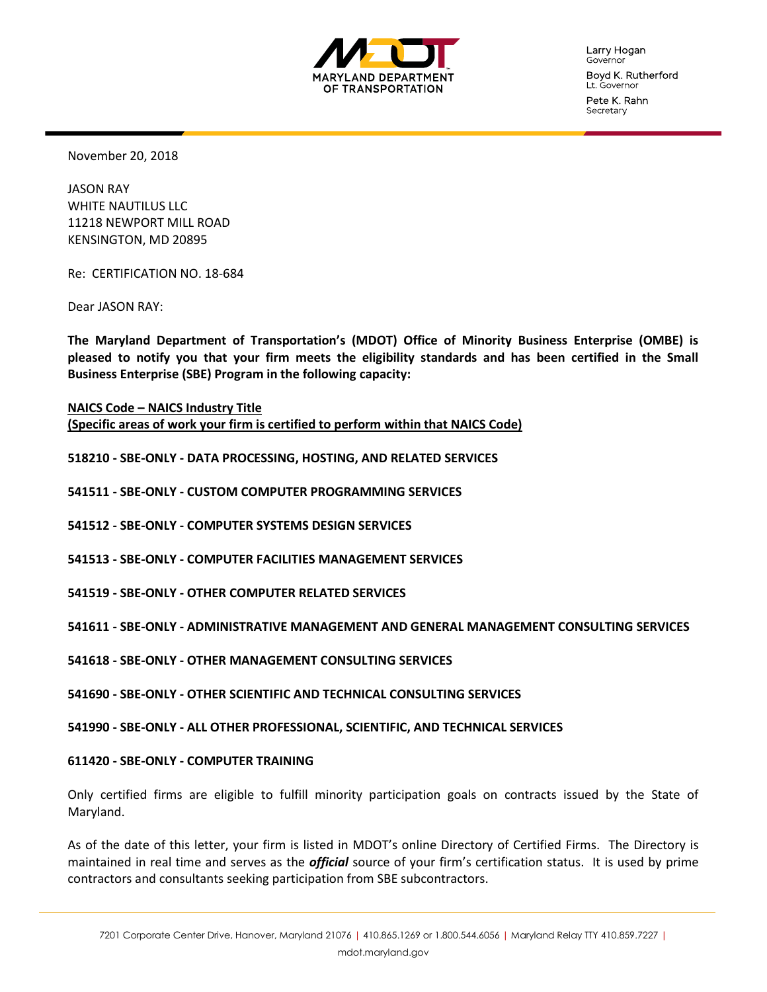

Larry Hogan Governor Boyd K. Rutherford Lt. Governor

Pete K. Rahn Secretary

November 20, 2018

JASON RAY WHITE NAUTILUS LLC 11218 NEWPORT MILL ROAD KENSINGTON, MD 20895

Re: CERTIFICATION NO. 18-684

Dear JASON RAY:

**The Maryland Department of Transportation's (MDOT) Office of Minority Business Enterprise (OMBE) is pleased to notify you that your firm meets the eligibility standards and has been certified in the Small Business Enterprise (SBE) Program in the following capacity:**

**NAICS Code – NAICS Industry Title (Specific areas of work your firm is certified to perform within that NAICS Code)**

**518210 - SBE-ONLY - DATA PROCESSING, HOSTING, AND RELATED SERVICES** 

**541511 - SBE-ONLY - CUSTOM COMPUTER PROGRAMMING SERVICES** 

- **541512 - SBE-ONLY - COMPUTER SYSTEMS DESIGN SERVICES**
- **541513 - SBE-ONLY - COMPUTER FACILITIES MANAGEMENT SERVICES**
- **541519 - SBE-ONLY - OTHER COMPUTER RELATED SERVICES**

## **541611 - SBE-ONLY - ADMINISTRATIVE MANAGEMENT AND GENERAL MANAGEMENT CONSULTING SERVICES**

- **541618 - SBE-ONLY - OTHER MANAGEMENT CONSULTING SERVICES**
- **541690 - SBE-ONLY - OTHER SCIENTIFIC AND TECHNICAL CONSULTING SERVICES**

**541990 - SBE-ONLY - ALL OTHER PROFESSIONAL, SCIENTIFIC, AND TECHNICAL SERVICES** 

## **611420 - SBE-ONLY - COMPUTER TRAINING**

Only certified firms are eligible to fulfill minority participation goals on contracts issued by the State of Maryland.

As of the date of this letter, your firm is listed in MDOT's online Directory of Certified Firms. The Directory is maintained in real time and serves as the *official* source of your firm's certification status. It is used by prime contractors and consultants seeking participation from SBE subcontractors.